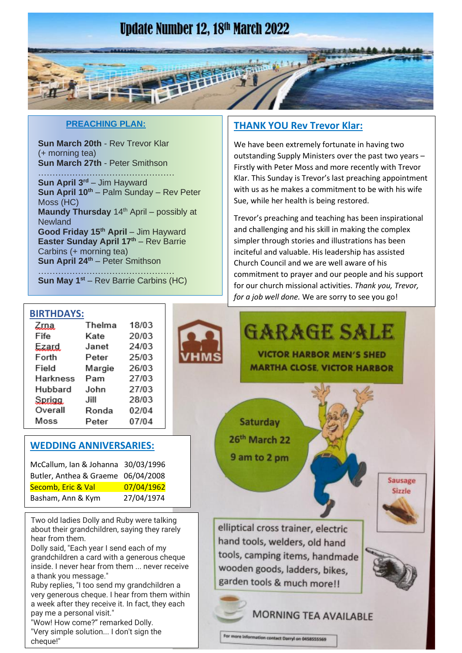## **Update Number 12, 18th March 2022**

#### **PREACHING PLAN:**

**Sun March 20th** - Rev Trevor Klar (+ morning tea) **Sun March 27th** - Peter Smithson

………………………………………… **Sun April 3rd** – Jim Hayward **Sun April 10th** – Palm Sunday – Rev Peter Moss (HC) **Maundy Thursday** 14<sup>th</sup> April – possibly at **Newland Good Friday 15th April** – Jim Hayward **Easter Sunday April 17th** – Rev Barrie Carbins (+ morning tea) **Sun April 24th** – Peter Smithson

………………………………………… **Sun May 1st** – Rev Barrie Carbins (HC)

#### **THANK YOU Rev Trevor Klar:**

We have been extremely fortunate in having two outstanding Supply Ministers over the past two years – Firstly with Peter Moss and more recently with Trevor Klar. This Sunday is Trevor's last preaching appointment with us as he makes a commitment to be with his wife Sue, while her health is being restored.

Trevor's preaching and teaching has been inspirational and challenging and his skill in making the complex simpler through stories and illustrations has been inciteful and valuable. His leadership has assisted Church Council and we are well aware of his commitment to prayer and our people and his support for our church missional activities. *Thank you, Trevor, for a job well done.* We are sorry to see you go!

#### **BIRTHDAYS:**

| Zma.     | Thelma | 18/03 |
|----------|--------|-------|
| Fife     | Kate   | 20/03 |
| Ezard.   | Janet  | 24/03 |
| Forth    | Peter  | 25/03 |
| Field    | Margie | 26/03 |
| Harkness | Pam    | 27/03 |
| Hubbard  | John   | 27/03 |
| Sprigg.  | Jill   | 28/03 |
| Overall  | Ronda  | 02/04 |
| Moss     | Peter  | 07/04 |

#### **WEDDING ANNIVERSARIES:**

| McCallum, Ian & Johanna 30/03/1996 |            |
|------------------------------------|------------|
| Butler, Anthea & Graeme 06/04/2008 |            |
| Secomb, Eric & Val                 | 07/04/1962 |
| Basham, Ann & Kym                  | 27/04/1974 |

Two old ladies Dolly and Ruby were talking about their grandchildren, saying they rarely hear from them.

Dolly said, "Each year I send each of my grandchildren a card with a generous cheque inside. I never hear from them ... never receive a thank you message."

Ruby replies, "I too send my grandchildren a very generous cheque. I hear from them within a week after they receive it. In fact, they each pay me a personal visit."

"Wow! How come?" remarked Dolly. "Very simple solution... I don't sign the cheque!"





**Sausage** Sizzle

**GARAGE SALE** 

26th March 22 9 am to 2 pm

elliptical cross trainer, electric hand tools, welders, old hand tools, camping items, handmade wooden goods, ladders, bikes, garden tools & much more!!

**MORNING TEA AVAILABLE** 

For more information contact Darryl on 0458555569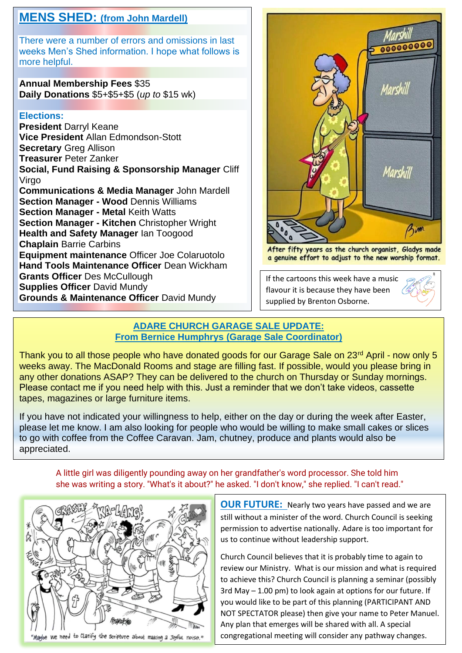## **MENS SHED: (from John Mardell)**

There were a number of errors and omissions in last weeks Men's Shed information. I hope what follows is more helpful.

**Annual Membership Fees** \$35 **Daily Donations** \$5+\$5+\$5 (*up to* \$15 wk)

#### **Elections:**

**President** Darryl Keane **Vice President** Allan Edmondson-Stott **Secretary** Greg Allison **Treasurer** Peter Zanker **Social, Fund Raising & Sponsorship Manager** Cliff Virgo **Communications & Media Manager** John Mardell **Section Manager - Wood** Dennis Williams **Section Manager - Metal** Keith Watts **Section Manager - Kitchen** Christopher Wright **Health and Safety Manager** Ian Toogood **Chaplain** Barrie Carbins **Equipment maintenance** Officer Joe Colaruotolo **Hand Tools Maintenance Officer** Dean Wickham **Grants Officer** Des McCullough **Supplies Officer** David Mundy **Grounds & Maintenance Officer** David Mundy



After fifty years as the church organist, Gladys made a genuine effort to adjust to the new worship format.

If the cartoons this week have a music flavour it is because they have been supplied by Brenton Osborne.

#### **ADARE CHURCH GARAGE SALE UPDATE: From Bernice Humphrys (Garage Sale Coordinator)**

Thank you to all those people who have donated goods for our Garage Sale on 23<sup>rd</sup> April - now only 5 weeks away. The MacDonald Rooms and stage are filling fast. If possible, would you please bring in any other donations ASAP? They can be delivered to the church on Thursday or Sunday mornings. Please contact me if you need help with this. Just a reminder that we don't take videos, cassette tapes, magazines or large furniture items.

If you have not indicated your willingness to help, either on the day or during the week after Easter, please let me know. I am also looking for people who would be willing to make small cakes or slices to go with coffee from the Coffee Caravan. Jam, chutney, produce and plants would also be appreciated.

A little girl was diligently pounding away on her grandfather's word processor. She told him she was writing a story. "What's it about?" he asked. "I don't know," she replied. "I can't read."



**OUR FUTURE:** Nearly two years have passed and we are still without a minister of the word. Church Council is seeking permission to advertise nationally. Adare is too important for us to continue without leadership support.

Church Council believes that it is probably time to again to review our Ministry. What is our mission and what is required to achieve this? Church Council is planning a seminar (possibly 3rd May – 1.00 pm) to look again at options for our future. If you would like to be part of this planning (PARTICIPANT AND NOT SPECTATOR please) then give your name to Peter Manuel. Any plan that emerges will be shared with all. A special congregational meeting will consider any pathway changes.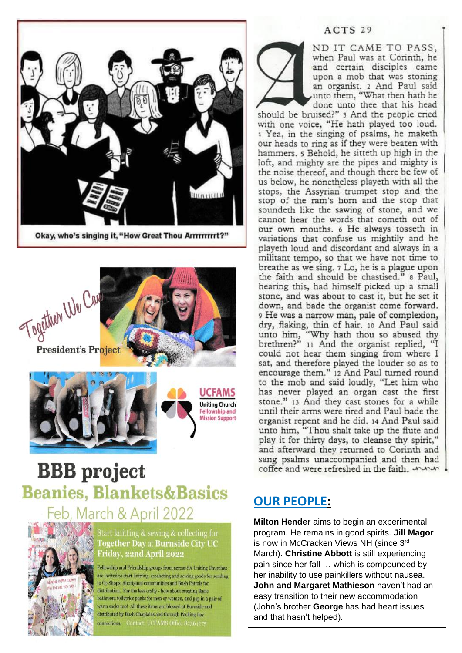

Okay, who's singing it, "How Great Thou Arrrrrrrrt?"



# **BBB** project **Beanies, Blankets&Basics** Feb, March & April 2022



Start knitting & sewing & collecting for **Fogether Day at Burnside City UC** Friday, 22nd April 2022

Fellowship and Friendship groups from across SA Uniting Churches are invited to start knitting, crocheting and sewing goods for sending to Op Shops, Aboriginal communities and Bush Patrols for distribution. For the less crafty - how about creating Basic bathroom toiletries packs for men or women, and pop in a pair of warm socks too! All these items are blessed at Burnside and distributed by Bush Chaplains and through Packing Day connections. Contact: UCFAMS Office 823642;

#### ACTS<sub>29</sub>

ND IT CAME TO PASS, when Paul was at Corinth, he and certain disciples came upon a mob that was stoning an organist. 2 And Paul said unto them, "What then hath he done unto thee that his head

should be bruised?" 3 And the people cried with one voice, "He hath played too loud. 4 Yea, in the singing of psalms, he maketh our heads to ring as if they were beaten with hammers. 5 Behold, he sitteth up high in the loft, and mighty are the pipes and mighty is the noise thereof, and though there be few of us below, he nonetheless playeth with all the stops, the Assyrian trumpet stop and the stop of the ram's horn and the stop that soundeth like the sawing of stone, and we cannot hear the words that cometh out of our own mouths. 6 He always tosseth in variations that confuse us mightily and he playeth loud and discordant and always in a militant tempo, so that we have not time to breathe as we sing. 7 Lo, he is a plague upon the faith and should be chastised." a Paul, hearing this, had himself picked up a small stone, and was about to cast it, but he set it down, and bade the organist come forward. 9 He was a narrow man, pale of complexion, dry, flaking, thin of hair. 10 And Paul said unto him, "Why hath thou so abused thy<br>brethren?" 11 And the organist replied, "I could not hear them singing from where I sat, and therefore played the louder so as to encourage them." 12 And Paul turned round to the mob and said loudly, "Let him who has never played an organ cast the first stone." 13 And they cast stones for a while until their arms were tired and Paul bade the organist repent and he did. 14 And Paul said unto him, "Thou shalt take up the flute and play it for thirty days, to cleanse thy spirit," and afterward they returned to Corinth and sang psalms unaccompanied and then had coffee and were refreshed in the faith. AMA

### **OUR PEOPLE:**

Milton Hender aims to begin an experimental program. He remains in good spirits. Jill Magor is now in McCracken Views NH (since 3rd March). Christine Abbott is still experiencing pain since her fall ... which is compounded by her inability to use painkillers without nausea. John and Margaret Mathieson haven't had an easy transition to their new accommodation (John's brother George has had heart issues and that hasn't helped).